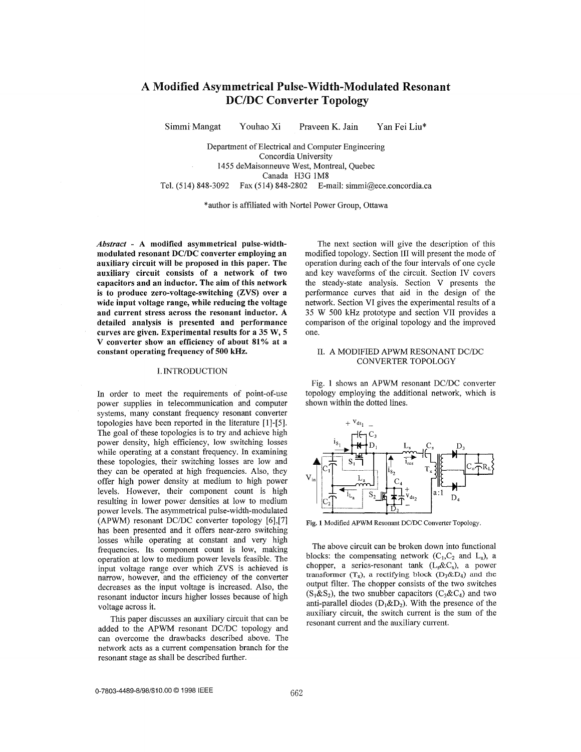# <span id="page-0-0"></span>A Modified Asymmetrical Pulse-Width-Modulated Resonant **DC/DC Converter Topology**

Simmi Mangat Youhao Xi Praveen K. Jain Yan Fei Liu\*

Department of Electrical and Computer Engineering Concordia University 1455 deMaisonneuve West, Montreal, Quebec Canada H3G 1M8 Tel. *(5* 14) 848-3092 Fax (5 14) 848-2802 E-mail: simmi@ece.concordia.ca

\*author is affiliated with Nortel Power Group, Ottawa

*Abstract* - **A modified asymmetrical pulse-widthmodulated resonant DC/DC converter employing an auxiliary circuit will be proposed in this paper. The auxiliary circuit consists of a network of two capacitors and an inductor. The aim of this network is to produce zero-voltage-switching (ZVS) over a wide input voltage range, while reducing the voltage and current stress across the resonant inductor. A detailed analysis is presented and performance curves are given. Experimental results for a 35 W, 5 V converter show an efficiency of about 81% at a constant operating frequency of 500 kHz.** 

#### 1. INTRODUCTION

In order to meet the requirements of point-of-use power supplies in telecommunication and computer systems, many constant frequency resonant converter topologies have been reported in the literature [1]-[5]. The goal of these topologies is to try and achieve high power density, high efficiency, low switching losses while operating at a constant frequency. In examining these topologies, their switching losses are low and they can be operated at high frequencies. Also, they offer high power density at medium to high power levels. However, their component count is high resulting in lower power densities at low to medium power levels. The asymmetrical pulse-width-modulated (APWM) resonant DC/DC converter topology *[6],[7]*  has been presented and it offers near-zero switching losses while operating at constant and very high frequencies. Its component count is low, making operation at low to medium power levels feasible. The input voltage range over which ZVS is achieved is narrow, however, and the efficiency of the converter decreases as the input voltage is increased. Also, the resonant inductor incurs higher losses because of high voltage across it.

This paper discusses an auxiliary circuit that can be added to the APWM resonant DC/DC topology and can overcome the drawbacks described above. The network acts as a current compensation branch for the resonant stage as shall be described further.

The next section will give the description of this modified topology. Section I11 will present the mode of operation during each of the four intervals of one cycle and key waveforms of the circuit. Section IV covers the steady-state analysis. Section V presents the performance curves that aid in the design of the network. Section VI gives the experimental results of a 35 W 500 **kHz** prototype and section VI1 provides a comparison of the original topology and the improved one.

#### 11. A MODIFIED APWM RESONANT DC/DC CONVERTER TOPOLOGY

Fig. 1 shows an APWM resonant DC/DC converter topology employing the additional network, which is shown within the dotted lines.



**Fig. 1** Modified APWM Resonant DC/DC Converter Topology.

The above circuit can be broken down into functional blocks: the compensating network  $(C_1, C_2$  and  $L_a$ ), a chopper, a series-resonant tank  $(L_s \& C_s)$ , a power transformer  $(T_x)$ , a rectifying block  $(D_3 \& D_4)$  and the output filter. The chopper consists of the two switches  $(S_1 \& S_2)$ , the two snubber capacitors  $(C_3 \& C_4)$  and two anti-parallel diodes  $(D_1 \& D_2)$ . With the presence of the auxiliary circuit, the switch current is the sum of the resonant current and the auxiliary current.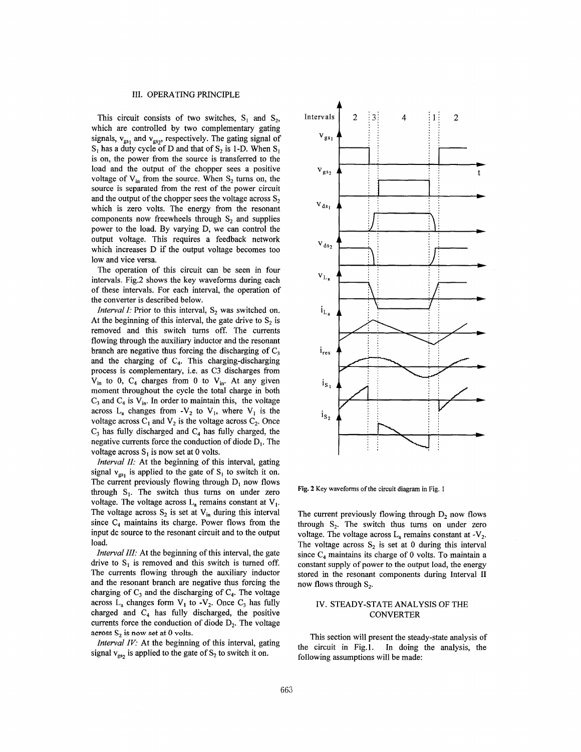#### III. OPERATING PRINCIPLE

This circuit consists of two switches, **S,** and S,, which are controlled by two complementary gating signals,  $v_{gs}$  and  $v_{gs}$ , respectively. The gating signal of  $S_1$  has a duty cycle of D and that of  $S_2$  is 1-D. When  $S_1$ is on, the power from the source is transferred to the load and the output of the chopper sees a positive voltage of  $V_{in}$  from the source. When  $S_2$  turns on, the source is separated from the rest of the power circuit and the output of the chopper sees the voltage across S, which is zero volts. The energy from the resonant components now freewheels through **S,** and supplies power to the load. By varying D, we can control the output voltage. This requires a feedback network which increases D if the output voltage becomes too low and vice versa.

The operation **of** this circuit can be seen in four intervals. Fig.2 shows the key waveforms during each of these intervals. For each interval, the operation of the converter is described below,

*Interval I:* Prior to this interval,  $S_2$  was switched on. At the beginning of this interval, the gate drive to  $S_2$  is removed and this switch turns off. The currents flowing through the auxiliary inductor and the resonant branch are negative thus forcing the discharging of  $C_3$ and the charging of  $C_4$ . This charging-discharging process is complementary, i.e. as C3 discharges from  $V_{in}$  to 0,  $C_4$  charges from 0 to  $V_{in}$ . At any given moment throughout the cycle the total charge in both  $C_3$  and  $C_4$  is  $V_{in}$ . In order to maintain this, the voltage across  $L_a$  changes from  $-V_2$  to  $V_1$ , where  $V_1$  is the voltage across  $C_1$  and  $V_2$  is the voltage across  $C_2$ . Once  $C_3$  has fully discharged and  $C_4$  has fully charged, the negative currents force the conduction of diode D,. The voltage across  $S_1$  is now set at 0 volts.

*Interval 11:* At the beginning of this interval, gating signal  $v_{gs}$  is applied to the gate of  $S<sub>1</sub>$  to switch it on. The current previously flowing through  $D_1$  now flows through S<sub>1</sub>. The switch thus turns on under zero voltage. The voltage across  $L_a$  remains constant at  $V_1$ . The voltage across  $S_2$  is set at  $V_{in}$  during this interval since  $C_4$  maintains its charge. Power flows from the input dc source to the resonant circuit and to the output load.

*Interval III:* At the beginning of this interval, the gate drive to  $S_1$  is removed and this switch is turned off. The currents flowing through the auxiliary inductor and the resonant branch are negative thus forcing the charging of  $C_3$  and the discharging of  $C_4$ . The voltage across  $L_a$  changes form  $V_1$  to  $-V_2$ . Once  $C_3$  has fully charged and  $C_4$  has fully discharged, the positive currents force the conduction of diode  $D_2$ . The voltage **across S, is now set** at 0 volts.

*Interval IV:* At the beginning of this interval, gating signal  $v_{gs}$  is applied to the gate of  $S_2$  to switch it on.



**Fig. 2 Key waveforms of the circuit diagram in [Fig.](#page-0-0)** 1

The current previously flowing through  $D<sub>2</sub>$  now flows through **S,.** The switch thus tums on under zero voltage. The voltage across  $L_a$  remains constant at  $-V_2$ . The voltage across  $S_2$  is set at 0 during this interval since  $C_4$  maintains its charge of 0 volts. To maintain a constant supply of power to the output **load,** the energy stored in the resonant components during Interval **I1**  now flows through  $S_2$ .

## IV. STEADY-STATE ANALYSIS OF THE CONVERTER

This section will present the steady-state analysis of the circuit in Fig.1. In doing the analysis, the following assumptions will be made: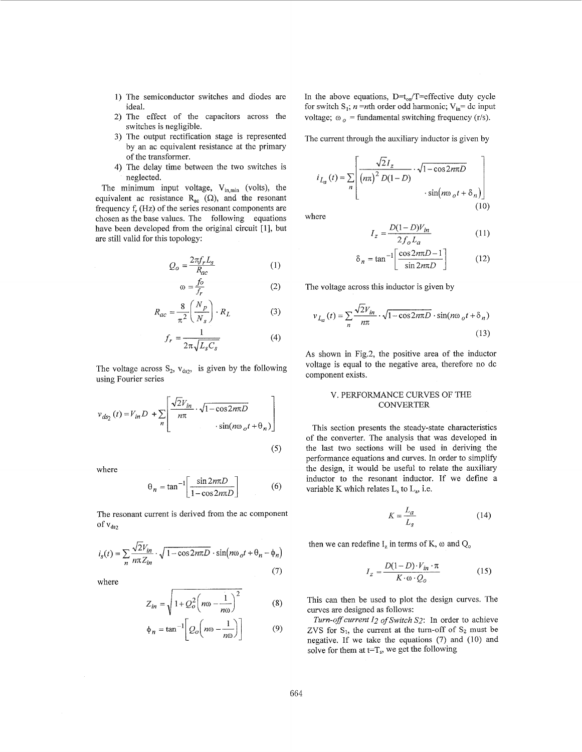- 1) The semiconductor switches and diodes are ideal.
- switches is negligible.<br>3) The output rectification stage is represented
- The output rectification stage is represented The current through the auxiliary inductor is given by by an ac equivalent resistance ai the primary of the transformer.
- 4) The delay time between the two switches is neglected.

The minimum input voltage,  $V_{in,min}$  (volts), the equivalent ac resistance  $R_{ac}$  ( $\Omega$ ), and the resonant frequency  $f_r$  (Hz) of the series resonant components are chosen as the base values. The following equations have been developed from the original circuit [1], but are still valid for this topology:

$$
Q_o = \frac{2\pi f_r L_s}{R_{ac}}\tag{1}
$$

$$
\omega = \frac{f_o}{f_r} \tag{2}
$$

$$
R_{ac} = \frac{8}{\pi^2} \left( \frac{N_p}{N_s} \right) \cdot R_L \tag{3}
$$

$$
f_r = \frac{1}{2\pi\sqrt{L_s C_s}}\tag{4}
$$

The voltage across  $S_2$ ,  $v_{ds2}$ , is given by the following using Fourier series

$$
v_{ds_2}(t) = V_{in}D + \sum_{n} \left[ \frac{\sqrt{2}V_{in}}{n\pi} \cdot \sqrt{1 - \cos 2n\pi D} \cdot \sin(n\omega_o t + \theta_n) \right]
$$

where

$$
\theta_n = \tan^{-1} \left[ \frac{\sin 2n\pi D}{1 - \cos 2m\pi D} \right] \tag{6}
$$

The resonant current is derived from the ac component of  $v_{ds2}$ 

$$
i_s(t) = \sum_{n} \frac{\sqrt{2}V_{in}}{n\pi Z_{in}} \cdot \sqrt{1 - \cos 2n\pi D} \cdot \sin(n\omega_o t + \theta_n - \phi_n)
$$
\n(7)

where

$$
Z_{in} = \sqrt{1 + Q_o^2 \left( n\omega - \frac{1}{n\omega} \right)^2}
$$
 (8)

$$
\phi_n = \tan^{-1} \left[ Q_o \left( n \omega - \frac{1}{n \omega} \right) \right] \tag{9}
$$

2) The effect of the capacitors across the voltage;  $\omega_o$  = fundamental switching frequency (r/s). In the above equations,  $D=t_{on}/T=$ effective duty cycle for switch  $S_1$ ; *n* = *n*th order odd harmonic;  $V_{in}$  = dc input

$$
i_{L_a}(t) = \sum_{n} \left[ \frac{\sqrt{2}I_z}{(n\pi)^2 D(1-D)} \cdot \sqrt{1-\cos 2n\pi D} \cdot \sin(n\omega_o t + \delta_n) \right]
$$
(10)

where

$$
I_z = \frac{D(1 - D)V_{in}}{2f_o L_a} \tag{11}
$$

$$
\delta_n = \tan^{-1} \left[ \frac{\cos 2n\pi D - 1}{\sin 2n\pi D} \right] \tag{12}
$$

The voltage across this inductor is given by

$$
v_{L_a}(t) = \sum_{n} \frac{\sqrt{2}v_{in}}{n\pi} \cdot \sqrt{1 - \cos 2n\pi D} \cdot \sin(n\omega_o t + \delta_n)
$$
\n(13)

As shown in Fig.2, the positive area of the inductor voltage is equal to the negative area, therefore no dc component exists.

## V. PERFORMANCE CURVES OF THE **CONVERTER**

This section presents the steady-state characteristics of the converter. The analysis that was developed in the last two sections will be used in deriving the performance equations and curves. In order to simplify the design, it would be useful to relate the auxiliary inductor to the resonant inductor. If we define a variable K which relates  $L_s$  to  $L_a$ , i.e.

$$
K = \frac{L_a}{L_s} \tag{14}
$$

then we can redefine  $I_z$  in terms of K,  $\omega$  and  $Q_0$ 

$$
I_z = \frac{D(1-D)\cdot V_{in}\cdot\pi}{K\cdot\omega\cdot Q_0} \tag{15}
$$

This can then be used to plot the design curves. The curves are designed as follows:

*Turn-offcurrent I2 of* Switch *S2:* In order to achieve ZVS for  $S_1$ , the current at the turn-off of  $S_2$  must be negative. If we take the equations (7) and (10) and solve for them at  $t=T_s$ , we get the following

*(5)*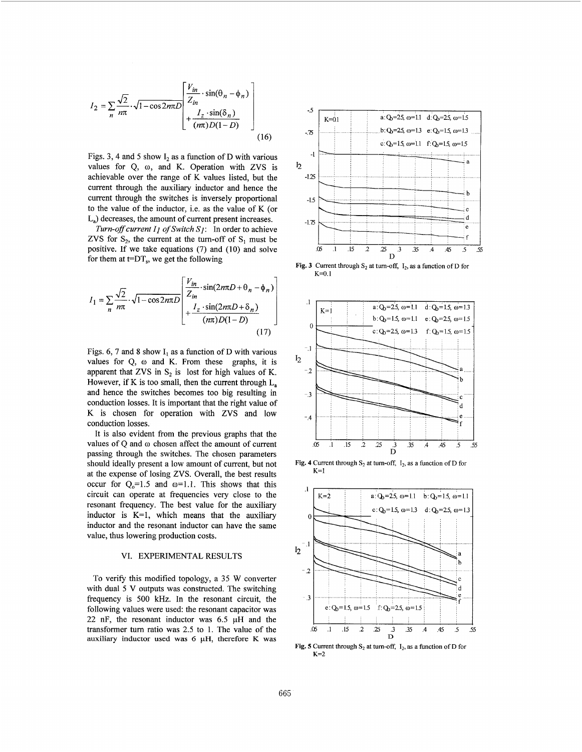$$
I_2 = \sum_{n} \frac{\sqrt{2}}{n\pi} \cdot \sqrt{1 - \cos 2n\pi D} \begin{bmatrix} \frac{V_{in}}{Z_{in}} \cdot \sin(\theta_n - \phi_n) \\ + \frac{I_z \cdot \sin(\delta_n)}{(n\pi)D(1 - D)} \end{bmatrix}
$$
(16)

Figs. 3, 4 and 5 show  $I_2$  as a function of D with various values for Q, *o,* and K. Operation with ZVS is achievable over the range of K values listed, but the current through the auxiliary inductor and hence the current through the switches is inversely proportional to the value of the inductor, i.e. as the value of K (or  $L<sub>s</sub>$ ) decreases, the amount of current present increases.

Turn-off current *I1 of Switch S<sub>1</sub>*: In order to achieve ZVS for  $S_2$ , the current at the turn-off of  $S_1$  must be positive. If we take equations (7) and (10) and solve for them at  $t=DT_s$ , we get the following

$$
I_1 = \sum_{n} \frac{\sqrt{2}}{n\pi} \cdot \sqrt{1 - \cos 2n\pi D} \left[ \frac{V_{in}}{Z_{in}} \cdot \frac{\sin(2n\pi D + \theta_n - \phi_n)}{F_{in} \cdot \frac{I_z \cdot \sin(2n\pi D + \delta_n)}{(m\pi)D(1 - D)}} \right]
$$
(17)

Figs. 6, 7 and 8 show  $I_1$  as a function of D with various values for Q, *o* and K. From these graphs, it is apparent that ZVS in  $S_2$  is lost for high values of K. However, if K is too small, then the current through  $L_a$ and hence the switches becomes too big resulting in conduction losses. It is important that the right value of K is chosen for operation with ZVS and low conduction losses.

It is also evident from the previous graphs that the values of Q and *o* chosen affect the amount of current passing through the switches. The chosen parameters should ideally present a low amount of current, but not at the expense of losing ZVS. Overall, the best results occur for  $Q_0$ =1.5 and  $\omega$ =1.1. This shows that this circuit can operate at frequencies very close to the resonant frequency. The best value for the auxiliary inductor is  $K=1$ , which means that the auxiliary inductor and the resonant inductor can have the same value, thus lowering production costs.

#### VI. EXPERIMENTAL RESULTS

To verify this modified topology, a 35 W converter with dual 5 V outputs was constructed. The switching frequency is 500 **kHz.** In the resonant circuit, the following values were used: the resonant capacitor was 22 nF, the resonant inductor was 6.5  $\mu$ H and the transformer turn ratio was 2.5 to 1. The value of the auxiliary inductor used was 6 **pH,** therefore K was







**Fig. 4** Current through  $S_2$  at turn-off,  $I_2$ , as a function of D for  $K = 1$ 



**Fig. 5** Current through  $S_2$  at turn-off,  $I_2$ , as a function of D for **K=2**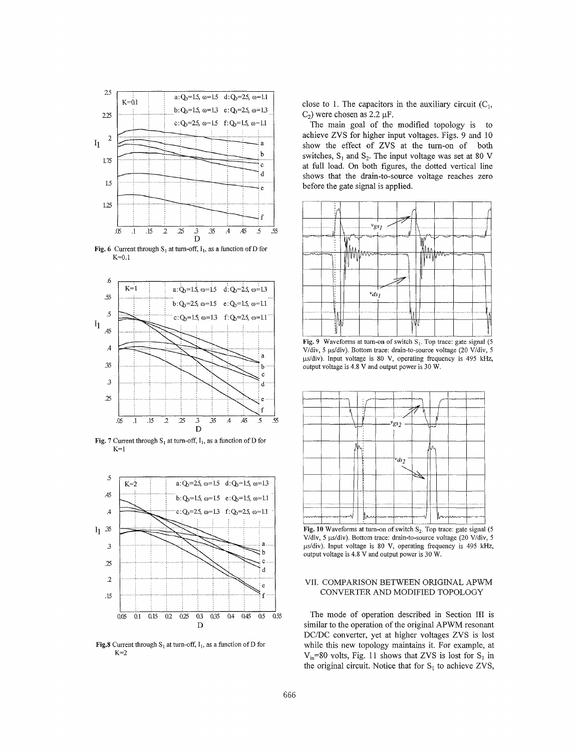





**Fig. 7** Current through  $S_1$  at turn-off,  $I_1$ , as a function of D for  $K=1$ 



**Fig.8** Current through  $S_1$  at turn-off,  $I_1$ , as a function of D for  $K=2$ 

close to 1. The capacitors in the auxiliary circuit  $(C_1,$  $C_2$ ) were chosen as 2.2  $\mu$ F.

The main goal of the modified topology is to achieve ZVS for higher input voltages. Figs. 9 and 10 show the effect of ZVS at the turn-on of both switches,  $S_1$  and  $S_2$ . The input voltage was set at 80 V at full load. On both figures, the dotted vertical line shows that the drain-to-source voltage reaches zero before the gate signal is applied.



Fig. 9 Waveforms at turn-on of switch  $S_1$ . Top trace: gate signal (5) V/div, 5 µs/div). Bottom trace: drain-to-source voltage (20 V/div, 5 ps/div). Input voltage is 80 V, operating frequency is 495 kHz, output voltage is 4.8 V and output power is 30 W.



Fig. 10 Waveforms at turn-on of switch S<sub>2</sub>. Top trace: gate signal (5) V/div, 5 µs/div). Bottom trace: drain-to-source voltage (20 V/div, 5 ps/div). Input voltage is 80 V, operating frequency is 495 **kHz,**  output voltage is 4.8 V and output power is 30 W.

## VII. COMPARISON BETWEEN ORIGINAL APWM CONVERTER AND MODIFIED TOPOLOGY

The mode of operation described in Section III is similar to the operation of the original APWM resonant DC/DC converter, yet at higher voltages ZVS is lost while this new topology maintains it. For example, at  $V_{in}$ =80 volts, [Fig. 11](#page-5-0) shows that ZVS is lost for S<sub>1</sub> in the original circuit. Notice that for  $S_1$  to achieve ZVS,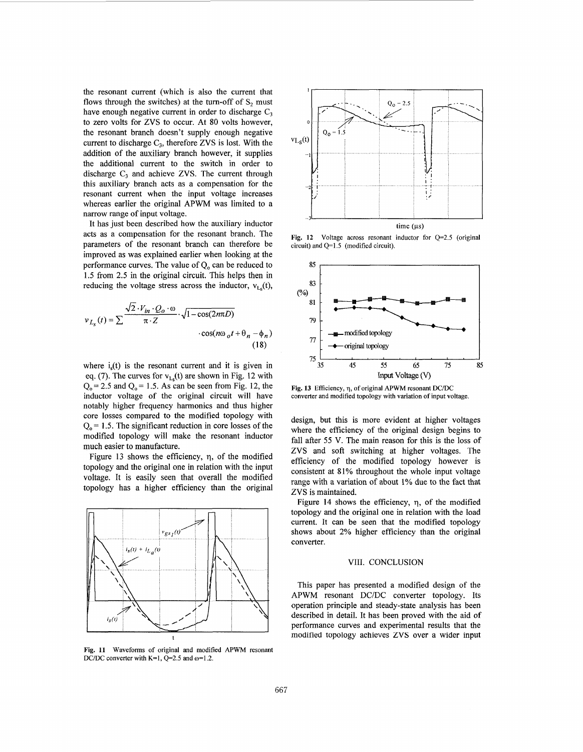<span id="page-5-0"></span>the resonant current (which is also the current that flows through the switches) at the turn-off of  $S_2$  must have enough negative current in order to discharge  $C_3$ to zero volts for ZVS to occur. At **80** volts however, the resonant branch doesn't supply enough negative current to discharge  $C_3$ , therefore ZVS is lost. With the addition of the auxiliary branch however, it supplies the additional current to the switch in order to discharge  $C_3$  and achieve ZVS. The current through this auxiliary branch acts as a compensation for the resonant current when the input voltage increases whereas earlier the original APWM was limited to a narrow range of input voltage.

It has just been described how the auxiliary inductor acts as a compensation for the resonant branch. The parameters of the resonant branch can therefore be improved as was explained earlier when looking at the performance curves. The value of  $Q_0$  can be reduced to 1.5 from 2.5 in the original circuit. This helps then in reducing the voltage stress across the inductor,  $v_{\text{L}}(t)$ ,

$$
v_{L_s}(t) = \sum \frac{\sqrt{2} \cdot V_{in} \cdot Q_0 \cdot \omega}{\pi \cdot Z} \cdot \sqrt{1 - \cos(2n\pi D)}
$$
  
 
$$
\cdot \cos(n\omega_o t + \theta_n - \phi_n)
$$
  
(18)

where  $i<sub>s</sub>(t)$  is the resonant current and it is given in eq. (7). The curves for  $v_{Ls}(t)$  are shown in Fig. 12 with  $Q_0 = 2.5$  and  $Q_0 = 1.5$ . As can be seen from Fig. 12, the inductor voltage of the original circuit will have notably higher frequency harmonics and thus higher core losses compared to the modified topology with  $Q<sub>o</sub> = 1.5$ . The significant reduction in core losses of the modified topology will make the resonant inductor much easier to manufacture.

Figure 13 shows the efficiency,  $\eta$ , of the modified topology and the original one in relation with the input voltage. It is easily seen that overall the modified topology has a higher efficiency than the original



**Fig. 11**  Waveforms of original and modified APWM resonant DC/DC converter with  $K=1$ ,  $Q=2.5$  and  $\omega=1.2$ .



**Fig. 12** Voltage across resonant inductor for Q=2.5 (original circuit) and **Q=1.5** (modified circuit).



**Fig. 13** Efficiency, q, of original APWM resonant DC/DC converter and modified topology with variation of input voltage.

design, but this is more evident at higher voltages where the efficiency of the original design begins to fall after 55 V. The main reason for this is the loss of ZVS and soft switching at higher voltages. The efficiency of the modified topology however is consistent at 81% throughout the whole input voltage range with a variation of about 1% due to the fact that ZVS is maintained.

Figure **14** shows the efficiency, q, of the modified topology and the original one in relation with the load current. It can be seen that the modified topology shows about 2% higher efficiency than the original converter.

#### VIII. CONCLUSION

This paper has presented a modified design of the APWM resonant DC/DC converter topology. Its operation principle and steady-state analysis has been described in detail. It has been proved with the aid of performance curves and experimental results that the modified topology achieves **ZVS** over a wider input